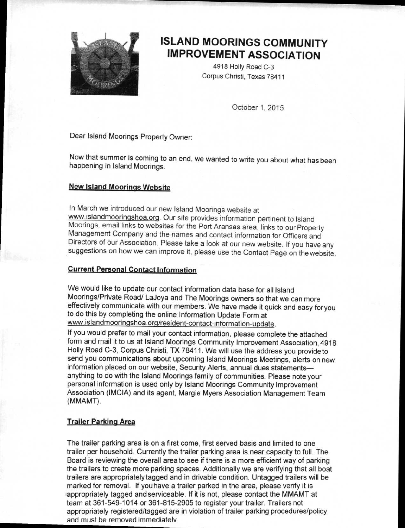

## **ISLAND MOORINGS COMMUNITY IMPROVEMENT ASSOCIATION**

4918 Holly Road C-3 Corpus Christi, Texas 78411

October 1, 2015

Dear Island Moorings Property Owner:

Now that summer is coming to an end, we wanted to write you about what has been happening in Island Moorings.

#### **New Island Moorings Website**

In March we introduced our new Island Moorings website at www.islandmooringshoa.orq. Our site provides information pertinent to Island Moorings, email links to websites for the Port Aransas area, links to our Property Management Company and the names and contact information for Officers and Directors of our Association. Please take a look at our new website. If you have any suggestions on how we can improve it. please use the Contact Page on the website

#### **Current Personal Contact Information**

We would like to update our contact information data base for all Island Moorings/Private Road/ LaJoya and The Moorings owners so that we can more effectively communicate with our members. We have made it quick and easy foryou to do this by completing the online Information Update Form at www.islandmoorinqshoa.orq/resident-contact-information-update.

If you would prefer to mail your contact information, please complete the attached form and mail it to us at Island Moorings Community Improvement Association, 4918 Holly Road C-3, Corpus Christi, TX 78411. We will use the address you provideto send you communications about upcoming Island Moorings Meetings, alerts on new information placed on our website, Security Alerts, annual dues statements anything to do with the Island Moorings family of communities. Please note your personal information is used only by Island Moorings Community Improvement Association (IMCIA) and its agent, Margie Myers Association Management Team (MMAMT).

#### **Trailer Parking Area**

The trailer parking area is on a first come, first served basis and limited to one trailer per household. Currently the trailer parking area is near capacity to full. The Board is reviewing the overall area to see if there is a more efficient way of parking the trailers to create more parking spaces. Additionally we are verifying that all boat trailers are appropriately tagged and in drivable condition. Untagged trailers will be marked for removal. If you have a trailer parked in the area, please verify it is appropriately tagged and serviceable. If it is not, please contact the MMAMT at team at 361-549-1014 or 361-815-2905 to register your trailer. Trailers not appropriately registered/tagged are in violation of trailer parking procedures/policy and must be removed immediately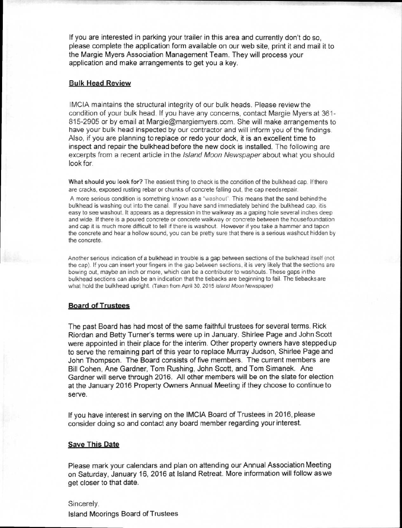If you are interested in parking your trailer in this area and currently don't do so, please complete the application form available on our web site, print it and mail it to the Margie Myers Association Management Team. They will process your application and make arrangements to get you a key.

#### **Bulk Head Review**

IMCIA maintains the structural integrity of our bulk heads. Please review the condition of your bulk head. If you have any concerns, contact Margie Myers at 361- 815-2905 or by email at Margie@margiemyers.com . She will make arrangements to have your bulk head inspected by our contractor and will inform you of the findings. Also, if you are planning to replace or redo your dock, it is an excellent time to inspect and repair the bulkhead before the new dock is installed. The following are excerpts from a recent article in the *Island Moon Newspaper* about what you should look for.

What should you look for? The easiest thing to check is the condition of the bulkhead cap. If there are cracks, exposed rusting rebar or chunks of concrete falling out. the cap needs repair.

A more serious condition is something known as a "washout". This means that the sand behind the bulkhead is washing out into the canal. If you have sand immediately behind the bulkhead cap. itis easy to see washout. It appears as a depression in the walkway as a gaping hole several inches deep and wide. If there is a poured concrete or concrete walkway or concrete between the housefoundation and cap it is much more difficult to tell if there is washout. However if you take a hammer and tapon the concrete and hear a hollow sound, you can be pretty sure that there is a serious washout hidden by the concrete.

Another serious indication of a bulkhead in trouble is a gap between sections of the bulkhead itself (not the cap). If you can insert your fingers in the gap between sections, it is very likely that the sections are bowing out, maybe an inch or more, which can be a contributor to washouts. These gaps in the bulkhead sections can also be an indication that the tiebacks are beginning to fail. The tiebacks are what hold the bulkhead upright, (Taken from April 30, 2015 Island Moon Newspaper)

#### **Board of Trustees**

The past Board has had most of the same faithful trustees for several terms. Rick Riordan and Betty Turner's terms were up in January. Shirlee Page and John Scott were appointed in their place for the interim. Other property owners have stepped up to serve the remaining part of this year to replace Murray Judson, Shirlee Page and John Thompson. The Board consists of five members. The current members are Bill Cohen, Ane Gardner, Tom Rushing, John Scott, and Tom Simanek. Ane Gardner will serve through 2016. All other members will be on the slate for election at the January 2016 Property Owners Annual Meeting if they choose to continue to serve.

If you have interest in serving on the IMCIA Board of Trustees in 2016, please consider doing so and contact any board member regarding your interest.

#### **Save This Date**

Please mark your calendars and plan on attending our Annual Association Meeting on Saturday, January 16, 2016 at Island Retreat. More information will follow as we get closer to that date.

Sincerely, Island Moorings Board of Trustees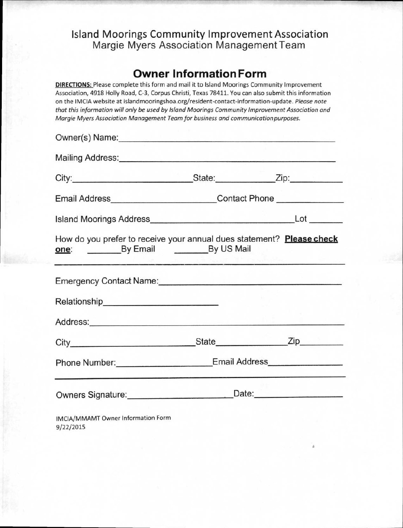### **Island Moorings Community Improvement Association**  Margie Myers Association Management Team

### **Owner Information Form**

**DIRECTIONS:** Please complete this form and mail it to Island Moorings Community Improvement Association, 4918 Holly Road, C-3, Corpus Christi, Texas 78411. You can also submit this information on the IMCIA website at islandmooringshoa.org/resident-contact-information-update. Please note that this information will only be used by Island Moorings Community Improvement Association and Margie Myers Association Management Team for business and communication purposes.

| Mailing Address: <u>Communications</u> Contains a Second Contains a Second Contains a Second Contains a Second Contains a Second Contains a Second Contains a Second Contains a Second Contains a Second Contains a Second Contains                                                                                                       |                                                                                  |  |
|-------------------------------------------------------------------------------------------------------------------------------------------------------------------------------------------------------------------------------------------------------------------------------------------------------------------------------------------|----------------------------------------------------------------------------------|--|
|                                                                                                                                                                                                                                                                                                                                           |                                                                                  |  |
|                                                                                                                                                                                                                                                                                                                                           | Email Address____________________________Contact Phone _________________________ |  |
|                                                                                                                                                                                                                                                                                                                                           |                                                                                  |  |
| How do you prefer to receive your annual dues statement? Please check<br>one: By Email By US Mail<br><u> The Constitution of the Constitution of the Constitution of the Constitution of the Constitution of the Constitution of the Constitution of the Constitution of the Constitution of the Constitution of the Constitution of </u> |                                                                                  |  |
| Emergency Contact Name:<br><u>Emergency Contact Name:</u>                                                                                                                                                                                                                                                                                 |                                                                                  |  |
|                                                                                                                                                                                                                                                                                                                                           |                                                                                  |  |
| Address: Andreas Address: Address: Address: Address: Address: Address: Address: Address: Address: Address: Address: Address: Address: Address: Address: Address: Address: Address: Address: Address: Address: Address: Address                                                                                                            |                                                                                  |  |
|                                                                                                                                                                                                                                                                                                                                           |                                                                                  |  |
|                                                                                                                                                                                                                                                                                                                                           | Phone Number: ________________________Email Address_____________________________ |  |
|                                                                                                                                                                                                                                                                                                                                           | Owners Signature: Date: Date:                                                    |  |
| IMCIA/MMAMT Owner Information Form                                                                                                                                                                                                                                                                                                        |                                                                                  |  |

9/22/2015